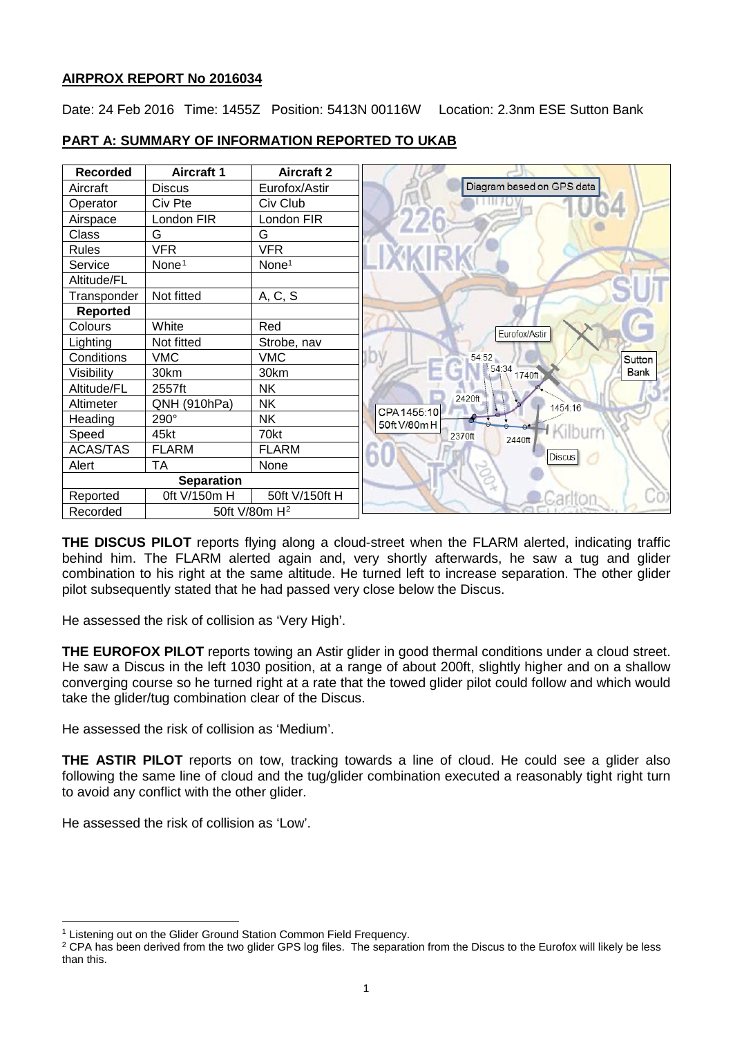# **AIRPROX REPORT No 2016034**

Date: 24 Feb 2016 Time: 1455Z Position: 5413N 00116W Location: 2.3nm ESE Sutton Bank



# **PART A: SUMMARY OF INFORMATION REPORTED TO UKAB**

**THE DISCUS PILOT** reports flying along a cloud-street when the FLARM alerted, indicating traffic behind him. The FLARM alerted again and, very shortly afterwards, he saw a tug and glider combination to his right at the same altitude. He turned left to increase separation. The other glider pilot subsequently stated that he had passed very close below the Discus.

He assessed the risk of collision as 'Very High'.

**THE EUROFOX PILOT** reports towing an Astir glider in good thermal conditions under a cloud street. He saw a Discus in the left 1030 position, at a range of about 200ft, slightly higher and on a shallow converging course so he turned right at a rate that the towed glider pilot could follow and which would take the glider/tug combination clear of the Discus.

He assessed the risk of collision as 'Medium'.

**THE ASTIR PILOT** reports on tow, tracking towards a line of cloud. He could see a glider also following the same line of cloud and the tug/glider combination executed a reasonably tight right turn to avoid any conflict with the other glider.

He assessed the risk of collision as 'Low'.

 $\overline{\phantom{a}}$ 

<span id="page-0-0"></span><sup>&</sup>lt;sup>1</sup> Listening out on the Glider Ground Station Common Field Frequency.

<span id="page-0-1"></span><sup>&</sup>lt;sup>2</sup> CPA has been derived from the two glider GPS log files. The separation from the Discus to the Eurofox will likely be less than this.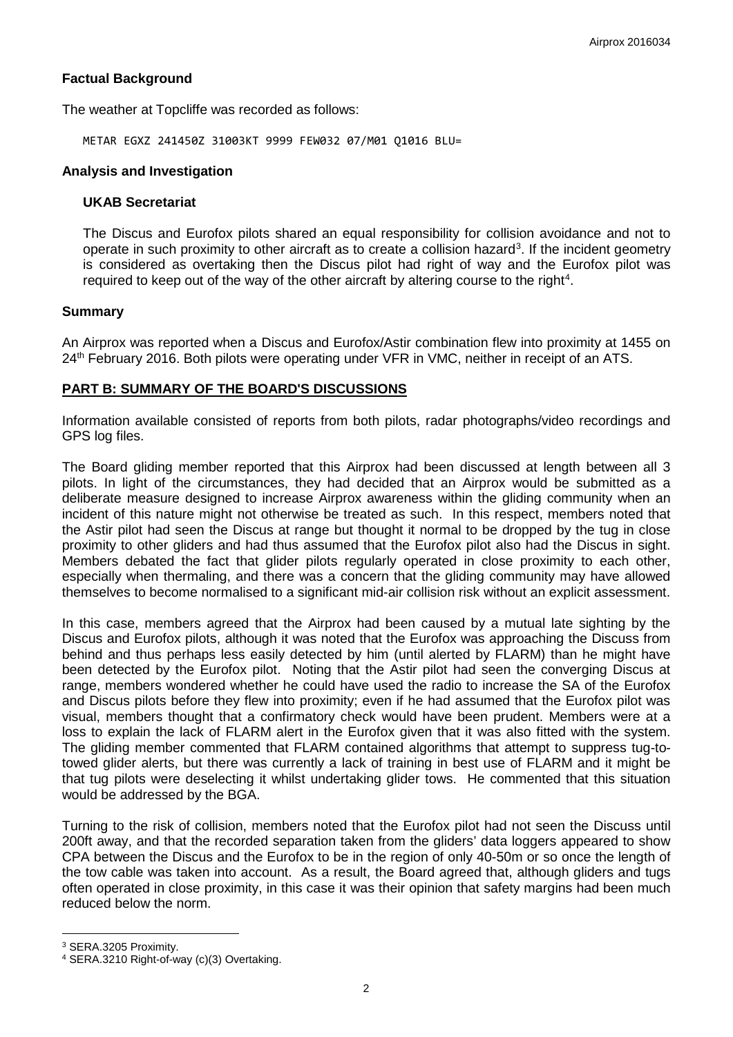# **Factual Background**

The weather at Topcliffe was recorded as follows:

METAR EGXZ 241450Z 31003KT 9999 FEW032 07/M01 Q1016 BLU=

#### **Analysis and Investigation**

#### **UKAB Secretariat**

The Discus and Eurofox pilots shared an equal responsibility for collision avoidance and not to operate in such proximity to other aircraft as to create a collision hazard<sup>[3](#page-1-0)</sup>. If the incident geometry is considered as overtaking then the Discus pilot had right of way and the Eurofox pilot was required to keep out of the way of the other aircraft by altering course to the right<sup>[4](#page-1-1)</sup>.

#### **Summary**

An Airprox was reported when a Discus and Eurofox/Astir combination flew into proximity at 1455 on 24<sup>th</sup> February 2016. Both pilots were operating under VFR in VMC, neither in receipt of an ATS.

### **PART B: SUMMARY OF THE BOARD'S DISCUSSIONS**

Information available consisted of reports from both pilots, radar photographs/video recordings and GPS log files.

The Board gliding member reported that this Airprox had been discussed at length between all 3 pilots. In light of the circumstances, they had decided that an Airprox would be submitted as a deliberate measure designed to increase Airprox awareness within the gliding community when an incident of this nature might not otherwise be treated as such. In this respect, members noted that the Astir pilot had seen the Discus at range but thought it normal to be dropped by the tug in close proximity to other gliders and had thus assumed that the Eurofox pilot also had the Discus in sight. Members debated the fact that glider pilots regularly operated in close proximity to each other, especially when thermaling, and there was a concern that the gliding community may have allowed themselves to become normalised to a significant mid-air collision risk without an explicit assessment.

In this case, members agreed that the Airprox had been caused by a mutual late sighting by the Discus and Eurofox pilots, although it was noted that the Eurofox was approaching the Discuss from behind and thus perhaps less easily detected by him (until alerted by FLARM) than he might have been detected by the Eurofox pilot. Noting that the Astir pilot had seen the converging Discus at range, members wondered whether he could have used the radio to increase the SA of the Eurofox and Discus pilots before they flew into proximity; even if he had assumed that the Eurofox pilot was visual, members thought that a confirmatory check would have been prudent. Members were at a loss to explain the lack of FLARM alert in the Eurofox given that it was also fitted with the system. The gliding member commented that FLARM contained algorithms that attempt to suppress tug-totowed glider alerts, but there was currently a lack of training in best use of FLARM and it might be that tug pilots were deselecting it whilst undertaking glider tows. He commented that this situation would be addressed by the BGA.

Turning to the risk of collision, members noted that the Eurofox pilot had not seen the Discuss until 200ft away, and that the recorded separation taken from the gliders' data loggers appeared to show CPA between the Discus and the Eurofox to be in the region of only 40-50m or so once the length of the tow cable was taken into account. As a result, the Board agreed that, although gliders and tugs often operated in close proximity, in this case it was their opinion that safety margins had been much reduced below the norm.

l

<span id="page-1-0"></span><sup>3</sup> SERA.3205 Proximity.

<span id="page-1-1"></span><sup>4</sup> SERA.3210 Right-of-way (c)(3) Overtaking.